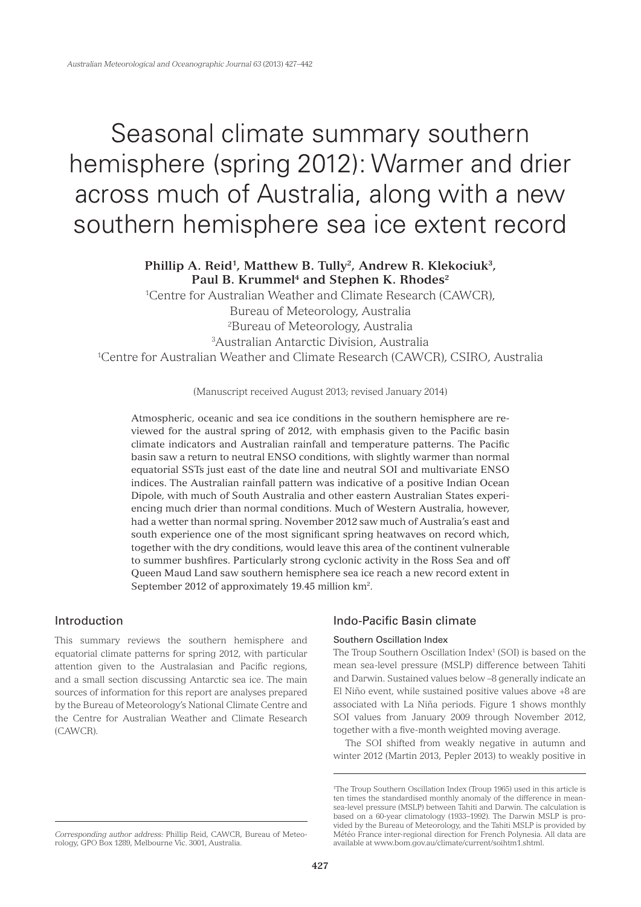# Seasonal climate summary southern hemisphere (spring 2012): Warmer and drier across much of Australia, along with a new southern hemisphere sea ice extent record

Phillip A. Reid<sup>1</sup>, Matthew B. Tully<sup>2</sup>, Andrew R. Klekociuk<sup>3</sup>, Paul B. Krummel<sup>4</sup> and Stephen K. Rhodes<sup>2</sup>

1 Centre for Australian Weather and Climate Research (CAWCR),

Bureau of Meteorology, Australia

2 Bureau of Meteorology, Australia

3 Australian Antarctic Division, Australia

1 Centre for Australian Weather and Climate Research (CAWCR), CSIRO, Australia

(Manuscript received August 2013; revised January 2014)

Atmospheric, oceanic and sea ice conditions in the southern hemisphere are reviewed for the austral spring of 2012, with emphasis given to the Pacific basin climate indicators and Australian rainfall and temperature patterns. The Pacific basin saw a return to neutral ENSO conditions, with slightly warmer than normal equatorial SSTs just east of the date line and neutral SOI and multivariate ENSO indices. The Australian rainfall pattern was indicative of a positive Indian Ocean Dipole, with much of South Australia and other eastern Australian States experiencing much drier than normal conditions. Much of Western Australia, however, had a wetter than normal spring. November 2012 saw much of Australia's east and south experience one of the most significant spring heatwaves on record which, together with the dry conditions, would leave this area of the continent vulnerable to summer bushfires. Particularly strong cyclonic activity in the Ross Sea and off Queen Maud Land saw southern hemisphere sea ice reach a new record extent in September 2012 of approximately 19.45 million km<sup>2</sup>.

# Introduction

This summary reviews the southern hemisphere and equatorial climate patterns for spring 2012, with particular attention given to the Australasian and Pacific regions, and a small section discussing Antarctic sea ice. The main sources of information for this report are analyses prepared by the Bureau of Meteorology's National Climate Centre and the Centre for Australian Weather and Climate Research (CAWCR).

# Indo-Pacific Basin climate

## Southern Oscillation Index

The Troup Southern Oscillation Index<sup>1</sup> (SOI) is based on the mean sea-level pressure (MSLP) difference between Tahiti and Darwin. Sustained values below –8 generally indicate an El Niño event, while sustained positive values above +8 are associated with La Niña periods. Figure 1 shows monthly SOI values from January 2009 through November 2012, together with a five-month weighted moving average.

The SOI shifted from weakly negative in autumn and winter 2012 (Martin 2013, Pepler 2013) to weakly positive in

<sup>1</sup> The Troup Southern Oscillation Index (Troup 1965) used in this article is ten times the standardised monthly anomaly of the difference in meansea-level pressure (MSLP) between Tahiti and Darwin. The calculation is based on a 60-year climatology (1933–1992). The Darwin MSLP is provided by the Bureau of Meteorology, and the Tahiti MSLP is provided by Météo France inter-regional direction for French Polynesia. All data are available at www.bom.gov.au/climate/current/soihtm1.shtml.

*Corresponding author address:* Phillip Reid, CAWCR, Bureau of Meteorology, GPO Box 1289, Melbourne Vic. 3001, Australia.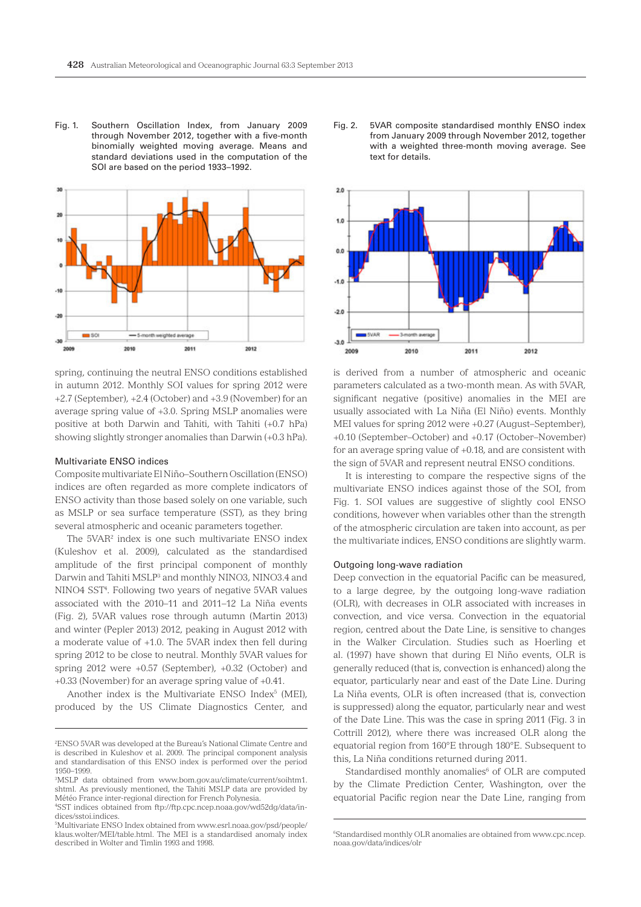Fig. 1. Southern Oscillation Index, from January 2009 through November 2012, together with a five-month binomially weighted moving average. Means and standard deviations used in the computation of the SOI are based on the period 1933–1992.



spring, continuing the neutral ENSO conditions established in autumn 2012. Monthly SOI values for spring 2012 were +2.7 (September), +2.4 (October) and +3.9 (November) for an average spring value of +3.0. Spring MSLP anomalies were positive at both Darwin and Tahiti, with Tahiti (+0.7 hPa) showing slightly stronger anomalies than Darwin (+0.3 hPa).

#### Multivariate ENSO indices

Composite multivariate El Niño–Southern Oscillation (ENSO) indices are often regarded as more complete indicators of ENSO activity than those based solely on one variable, such as MSLP or sea surface temperature (SST), as they bring several atmospheric and oceanic parameters together.

The 5VAR2 index is one such multivariate ENSO index (Kuleshov et al. 2009), calculated as the standardised amplitude of the first principal component of monthly Darwin and Tahiti MSLP<sup>3</sup> and monthly NINO3, NINO3.4 and NINO4 SST<sup>4</sup>. Following two years of negative 5VAR values associated with the 2010–11 and 2011–12 La Niña events (Fig. 2), 5VAR values rose through autumn (Martin 2013) and winter (Pepler 2013) 2012, peaking in August 2012 with a moderate value of +1.0. The 5VAR index then fell during spring 2012 to be close to neutral. Monthly 5VAR values for spring 2012 were +0.57 (September), +0.32 (October) and +0.33 (November) for an average spring value of +0.41.

Another index is the Multivariate ENSO Index<sup>5</sup> (MEI), produced by the US Climate Diagnostics Center, and

Fig. 2. 5VAR composite standardised monthly ENSO index from January 2009 through November 2012, together with a weighted three-month moving average. See text for details.



is derived from a number of atmospheric and oceanic parameters calculated as a two-month mean. As with 5VAR, significant negative (positive) anomalies in the MEI are usually associated with La Niña (El Niño) events. Monthly MEI values for spring 2012 were +0.27 (August–September), +0.10 (September–October) and +0.17 (October–November) for an average spring value of +0.18, and are consistent with the sign of 5VAR and represent neutral ENSO conditions.

It is interesting to compare the respective signs of the multivariate ENSO indices against those of the SOI, from Fig. 1. SOI values are suggestive of slightly cool ENSO conditions, however when variables other than the strength of the atmospheric circulation are taken into account, as per the multivariate indices, ENSO conditions are slightly warm.

#### Outgoing long-wave radiation

Deep convection in the equatorial Pacific can be measured, to a large degree, by the outgoing long-wave radiation (OLR), with decreases in OLR associated with increases in convection, and vice versa. Convection in the equatorial region, centred about the Date Line, is sensitive to changes in the Walker Circulation. Studies such as Hoerling et al. (1997) have shown that during El Niño events, OLR is generally reduced (that is, convection is enhanced) along the equator, particularly near and east of the Date Line. During La Niña events, OLR is often increased (that is, convection is suppressed) along the equator, particularly near and west of the Date Line. This was the case in spring 2011 (Fig. 3 in Cottrill 2012), where there was increased OLR along the equatorial region from 160°E through 180°E. Subsequent to this, La Niña conditions returned during 2011.

Standardised monthly anomalies<sup>6</sup> of OLR are computed by the Climate Prediction Center, Washington, over the equatorial Pacific region near the Date Line, ranging from

<sup>2</sup> ENSO 5VAR was developed at the Bureau's National Climate Centre and is described in Kuleshov et al. 2009. The principal component analysis and standardisation of this ENSO index is performed over the period 1950–1999.

<sup>3</sup> MSLP data obtained from www.bom.gov.au/climate/current/soihtm1. shtml. As previously mentioned, the Tahiti MSLP data are provided by Météo France inter-regional direction for French Polynesia.

<sup>4</sup> SST indices obtained from ftp://ftp.cpc.ncep.noaa.gov/wd52dg/data/indices/sstoi.indices.

<sup>5</sup> Multivariate ENSO Index obtained from www.esrl.noaa.gov/psd/people/ klaus.wolter/MEI/table.html. The MEI is a standardised anomaly index described in Wolter and Timlin 1993 and 1998.

<sup>6</sup> Standardised monthly OLR anomalies are obtained from www.cpc.ncep. noaa.gov/data/indices/olr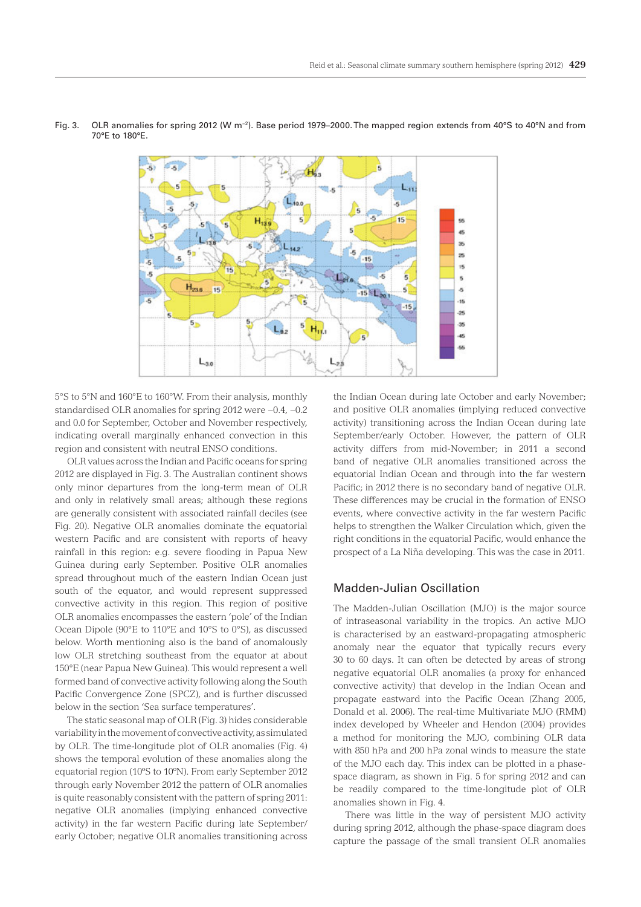

Fig. 3. OLR anomalies for spring 2012 (W m−2). Base period 1979–2000. The mapped region extends from 40°S to 40°N and from 70°E to 180°E.

5°S to 5°N and 160°E to 160°W. From their analysis, monthly standardised OLR anomalies for spring 2012 were −0.4, −0.2 and 0.0 for September, October and November respectively, indicating overall marginally enhanced convection in this region and consistent with neutral ENSO conditions.

OLR values across the Indian and Pacific oceans for spring 2012 are displayed in Fig. 3. The Australian continent shows only minor departures from the long-term mean of OLR and only in relatively small areas; although these regions are generally consistent with associated rainfall deciles (see Fig. 20). Negative OLR anomalies dominate the equatorial western Pacific and are consistent with reports of heavy rainfall in this region: e.g. severe flooding in Papua New Guinea during early September. Positive OLR anomalies spread throughout much of the eastern Indian Ocean just south of the equator, and would represent suppressed convective activity in this region. This region of positive OLR anomalies encompasses the eastern 'pole' of the Indian Ocean Dipole (90°E to 110°E and 10°S to 0°S), as discussed below. Worth mentioning also is the band of anomalously low OLR stretching southeast from the equator at about 150°E (near Papua New Guinea). This would represent a well formed band of convective activity following along the South Pacific Convergence Zone (SPCZ), and is further discussed below in the section 'Sea surface temperatures'.

The static seasonal map of OLR (Fig. 3) hides considerable variability in the movement of convective activity, as simulated by OLR. The time-longitude plot of OLR anomalies (Fig. 4) shows the temporal evolution of these anomalies along the equatorial region (10ºS to 10ºN). From early September 2012 through early November 2012 the pattern of OLR anomalies is quite reasonably consistent with the pattern of spring 2011: negative OLR anomalies (implying enhanced convective activity) in the far western Pacific during late September/ early October; negative OLR anomalies transitioning across

the Indian Ocean during late October and early November; and positive OLR anomalies (implying reduced convective activity) transitioning across the Indian Ocean during late September/early October. However, the pattern of OLR activity differs from mid-November; in 2011 a second band of negative OLR anomalies transitioned across the equatorial Indian Ocean and through into the far western Pacific: in 2012 there is no secondary band of negative OLR. These differences may be crucial in the formation of ENSO events, where convective activity in the far western Pacific helps to strengthen the Walker Circulation which, given the right conditions in the equatorial Pacific, would enhance the prospect of a La Niña developing. This was the case in 2011.

# Madden-Julian Oscillation

The Madden-Julian Oscillation (MJO) is the major source of intraseasonal variability in the tropics. An active MJO is characterised by an eastward-propagating atmospheric anomaly near the equator that typically recurs every 30 to 60 days. It can often be detected by areas of strong negative equatorial OLR anomalies (a proxy for enhanced convective activity) that develop in the Indian Ocean and propagate eastward into the Pacific Ocean (Zhang 2005, Donald et al. 2006). The real-time Multivariate MJO (RMM) index developed by Wheeler and Hendon (2004) provides a method for monitoring the MJO, combining OLR data with 850 hPa and 200 hPa zonal winds to measure the state of the MJO each day. This index can be plotted in a phasespace diagram, as shown in Fig. 5 for spring 2012 and can be readily compared to the time-longitude plot of OLR anomalies shown in Fig. 4.

There was little in the way of persistent MJO activity during spring 2012, although the phase-space diagram does capture the passage of the small transient OLR anomalies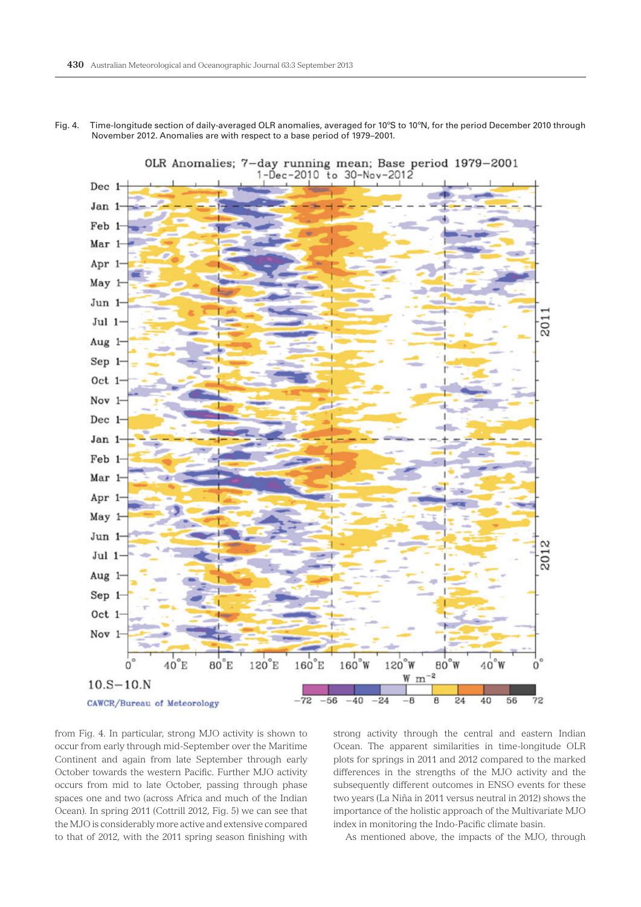

Fig. 4. Time-longitude section of daily-averaged OLR anomalies, averaged for 10ºS to 10ºN, for the period December 2010 through November 2012. Anomalies are with respect to a base period of 1979–2001.

from Fig. 4. In particular, strong MJO activity is shown to occur from early through mid-September over the Maritime Continent and again from late September through early October towards the western Pacific. Further MJO activity occurs from mid to late October, passing through phase spaces one and two (across Africa and much of the Indian Ocean). In spring 2011 (Cottrill 2012, Fig. 5) we can see that the MJO is considerably more active and extensive compared to that of 2012, with the 2011 spring season finishing with

strong activity through the central and eastern Indian Ocean. The apparent similarities in time-longitude OLR plots for springs in 2011 and 2012 compared to the marked differences in the strengths of the MJO activity and the subsequently different outcomes in ENSO events for these two years (La Niña in 2011 versus neutral in 2012) shows the importance of the holistic approach of the Multivariate MJO index in monitoring the Indo-Pacific climate basin.

As mentioned above, the impacts of the MJO, through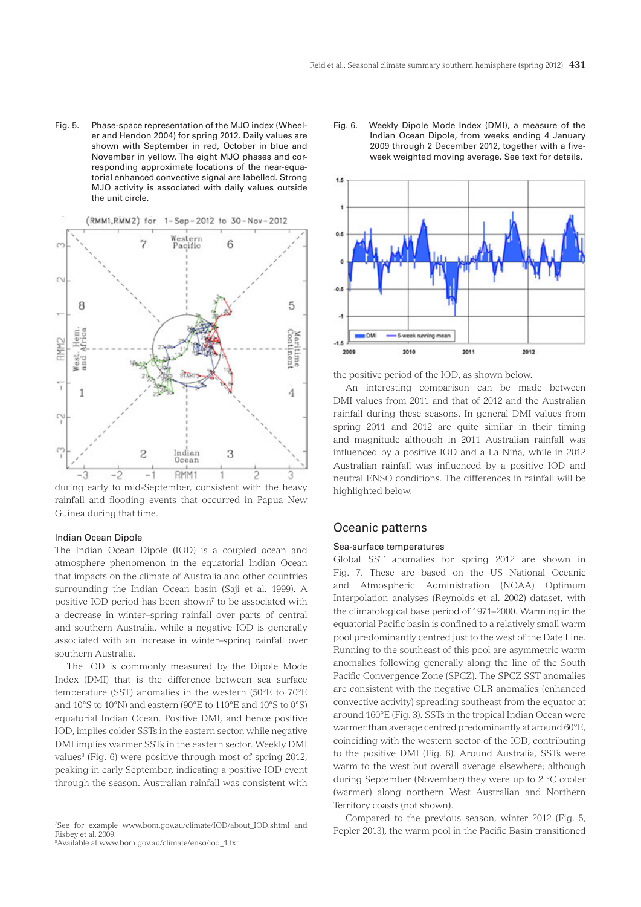Fig. 5. Phase-space representation of the MJO index (Wheeler and Hendon 2004) for spring 2012. Daily values are shown with September in red, October in blue and November in yellow. The eight MJO phases and corresponding approximate locations of the near-equatorial enhanced convective signal are labelled. Strong MJO activity is associated with daily values outside the unit circle.



rainfall and flooding events that occurred in Papua New Guinea during that time.

#### Indian Ocean Dipole

The Indian Ocean Dipole (IOD) is a coupled ocean and atmosphere phenomenon in the equatorial Indian Ocean that impacts on the climate of Australia and other countries surrounding the Indian Ocean basin (Saji et al. 1999). A positive IOD period has been shown<sup> $7$ </sup> to be associated with a decrease in winter–spring rainfall over parts of central and southern Australia, while a negative IOD is generally associated with an increase in winter–spring rainfall over southern Australia.

The IOD is commonly measured by the Dipole Mode Index (DMI) that is the difference between sea surface temperature (SST) anomalies in the western (50°E to 70°E and 10°S to 10°N) and eastern (90°E to 110°E and 10°S to 0°S) equatorial Indian Ocean. Positive DMI, and hence positive IOD, implies colder SSTs in the eastern sector, while negative DMI implies warmer SSTs in the eastern sector. Weekly DMI values<sup>8</sup> (Fig. 6) were positive through most of spring 2012, peaking in early September, indicating a positive IOD event through the season. Australian rainfall was consistent with

8 Available at www.bom.gov.au/climate/enso/iod\_1.txt

Fig. 6. Weekly Dipole Mode Index (DMI), a measure of the Indian Ocean Dipole, from weeks ending 4 January 2009 through 2 December 2012, together with a fiveweek weighted moving average. See text for details.



the positive period of the IOD, as shown below.

An interesting comparison can be made between DMI values from 2011 and that of 2012 and the Australian rainfall during these seasons. In general DMI values from spring 2011 and 2012 are quite similar in their timing and magnitude although in 2011 Australian rainfall was influenced by a positive IOD and a La Niña, while in 2012 Australian rainfall was influenced by a positive IOD and neutral ENSO conditions. The differences in rainfall will be highlighted below.

# Oceanic patterns

## Sea-surface temperatures

Global SST anomalies for spring 2012 are shown in Fig. 7. These are based on the US National Oceanic and Atmospheric Administration (NOAA) Optimum Interpolation analyses (Reynolds et al. 2002) dataset, with the climatological base period of 1971–2000. Warming in the equatorial Pacific basin is confined to a relatively small warm pool predominantly centred just to the west of the Date Line. Running to the southeast of this pool are asymmetric warm anomalies following generally along the line of the South Pacific Convergence Zone (SPCZ). The SPCZ SST anomalies are consistent with the negative OLR anomalies (enhanced convective activity) spreading southeast from the equator at around 160°E (Fig. 3). SSTs in the tropical Indian Ocean were warmer than average centred predominantly at around 60°E, coinciding with the western sector of the IOD, contributing to the positive DMI (Fig. 6). Around Australia, SSTs were warm to the west but overall average elsewhere; although during September (November) they were up to 2 °C cooler (warmer) along northern West Australian and Northern Territory coasts (not shown).

Compared to the previous season, winter 2012 (Fig. 5, Pepler 2013), the warm pool in the Pacific Basin transitioned

<sup>7</sup> See for example www.bom.gov.au/climate/IOD/about\_IOD.shtml and Risbey et al. 2009.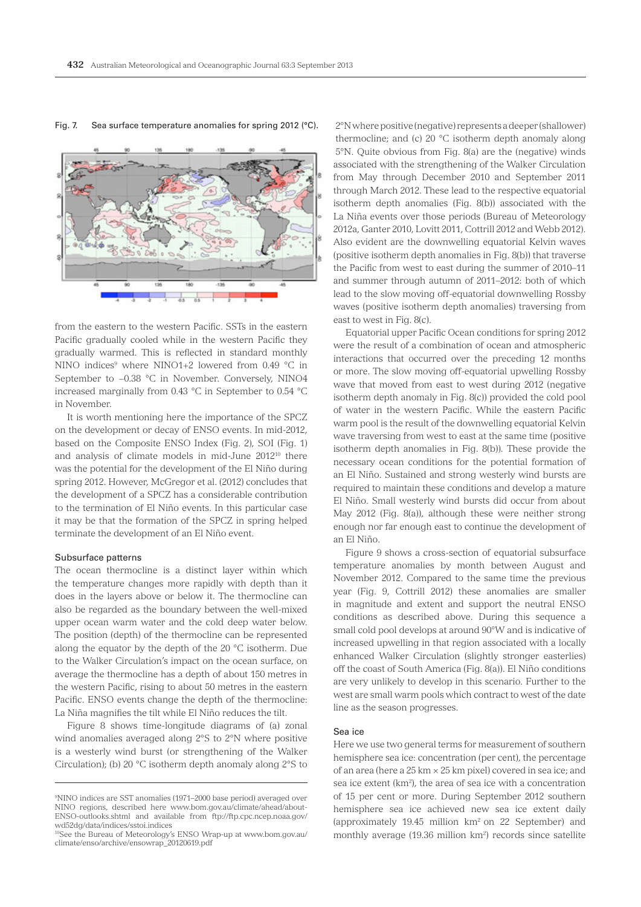

#### Fig. 7. Sea surface temperature anomalies for spring 2012 (°C).

from the eastern to the western Pacific. SSTs in the eastern Pacific gradually cooled while in the western Pacific they gradually warmed. This is reflected in standard monthly NINO indices<sup>9</sup> where NINO1+2 lowered from 0.49 °C in September to −0.38 °C in November. Conversely, NINO4 increased marginally from 0.43 °C in September to 0.54 °C in November.

It is worth mentioning here the importance of the SPCZ on the development or decay of ENSO events. In mid-2012, based on the Composite ENSO Index (Fig. 2), SOI (Fig. 1) and analysis of climate models in mid-June 201210 there was the potential for the development of the El Niño during spring 2012. However, McGregor et al. (2012) concludes that the development of a SPCZ has a considerable contribution to the termination of El Niño events. In this particular case it may be that the formation of the SPCZ in spring helped terminate the development of an El Niño event.

#### Subsurface patterns

The ocean thermocline is a distinct layer within which the temperature changes more rapidly with depth than it does in the layers above or below it. The thermocline can also be regarded as the boundary between the well-mixed upper ocean warm water and the cold deep water below. The position (depth) of the thermocline can be represented along the equator by the depth of the 20 °C isotherm. Due to the Walker Circulation's impact on the ocean surface, on average the thermocline has a depth of about 150 metres in the western Pacific, rising to about 50 metres in the eastern Pacific. ENSO events change the depth of the thermocline: La Niña magnifies the tilt while El Niño reduces the tilt.

Figure 8 shows time-longitude diagrams of (a) zonal wind anomalies averaged along 2°S to 2°N where positive is a westerly wind burst (or strengthening of the Walker Circulation); (b) 20 °C isotherm depth anomaly along 2°S to

2°N where positive (negative) represents a deeper (shallower) thermocline; and (c) 20 °C isotherm depth anomaly along 5°N. Quite obvious from Fig. 8(a) are the (negative) winds associated with the strengthening of the Walker Circulation from May through December 2010 and September 2011 through March 2012. These lead to the respective equatorial isotherm depth anomalies (Fig. 8(b)) associated with the La Niña events over those periods (Bureau of Meteorology 2012a, Ganter 2010, Lovitt 2011, Cottrill 2012 and Webb 2012). Also evident are the downwelling equatorial Kelvin waves (positive isotherm depth anomalies in Fig. 8(b)) that traverse the Pacific from west to east during the summer of 2010–11 and summer through autumn of 2011–2012: both of which lead to the slow moving off-equatorial downwelling Rossby waves (positive isotherm depth anomalies) traversing from east to west in Fig. 8(c).

Equatorial upper Pacific Ocean conditions for spring 2012 were the result of a combination of ocean and atmospheric interactions that occurred over the preceding 12 months or more. The slow moving off-equatorial upwelling Rossby wave that moved from east to west during 2012 (negative isotherm depth anomaly in Fig. 8(c)) provided the cold pool of water in the western Pacific. While the eastern Pacific warm pool is the result of the downwelling equatorial Kelvin wave traversing from west to east at the same time (positive isotherm depth anomalies in Fig. 8(b)). These provide the necessary ocean conditions for the potential formation of an El Niño. Sustained and strong westerly wind bursts are required to maintain these conditions and develop a mature El Niño. Small westerly wind bursts did occur from about May 2012 (Fig. 8(a)), although these were neither strong enough nor far enough east to continue the development of an El Niño.

Figure 9 shows a cross-section of equatorial subsurface temperature anomalies by month between August and November 2012. Compared to the same time the previous year (Fig. 9, Cottrill 2012) these anomalies are smaller in magnitude and extent and support the neutral ENSO conditions as described above. During this sequence a small cold pool develops at around 90°W and is indicative of increased upwelling in that region associated with a locally enhanced Walker Circulation (slightly stronger easterlies) off the coast of South America (Fig. 8(a)). El Niño conditions are very unlikely to develop in this scenario. Further to the west are small warm pools which contract to west of the date line as the season progresses.

#### Sea ice

Here we use two general terms for measurement of southern hemisphere sea ice: concentration (per cent), the percentage of an area (here a 25 km × 25 km pixel) covered in sea ice; and sea ice extent (km<sup>2</sup>), the area of sea ice with a concentration of 15 per cent or more. During September 2012 southern hemisphere sea ice achieved new sea ice extent daily (approximately 19.45 million  $km^2$  on 22 September) and monthly average (19.36 million km<sup>2</sup>) records since satellite

<sup>9</sup> NINO indices are SST anomalies (1971–2000 base period) averaged over NINO regions, described here www.bom.gov.au/climate/ahead/about-ENSO-outlooks.shtml and available from ftp://ftp.cpc.ncep.noaa.gov/ wd52dg/data/indices/sstoi.indices

<sup>10</sup>See the Bureau of Meteorology's ENSO Wrap-up at www.bom.gov.au/ climate/enso/archive/ensowrap\_20120619.pdf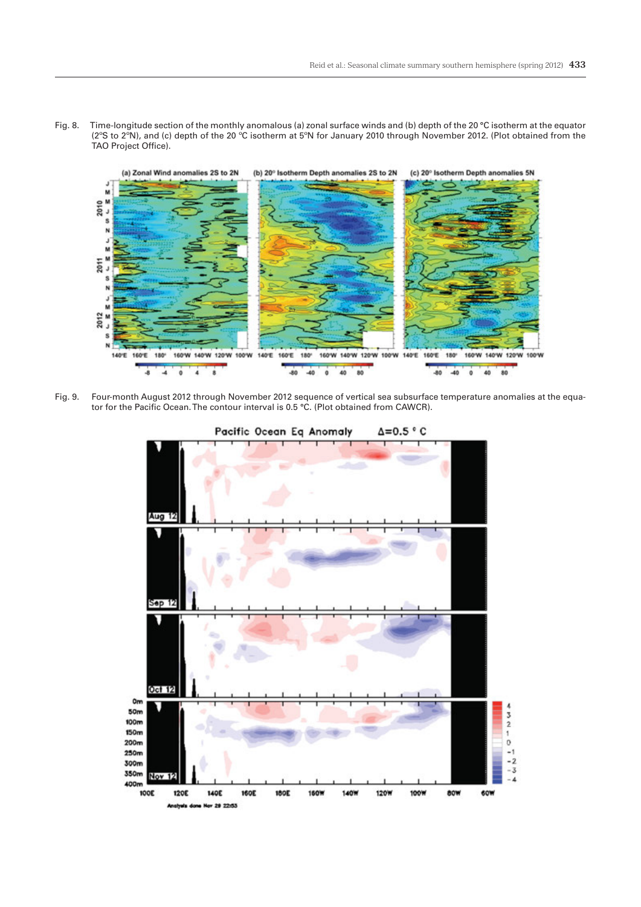Fig. 8. Time-longitude section of the monthly anomalous (a) zonal surface winds and (b) depth of the 20 °C isotherm at the equator (2°S to 2°N), and (c) depth of the 20 °C isotherm at 5°N for January 2010 through November 2012. (Plot obtained from the TAO Project Office).



Fig. 9. Four-month August 2012 through November 2012 sequence of vertical sea subsurface temperature anomalies at the equator for the Pacific Ocean. The contour interval is 0.5 °C. (Plot obtained from CAWCR).

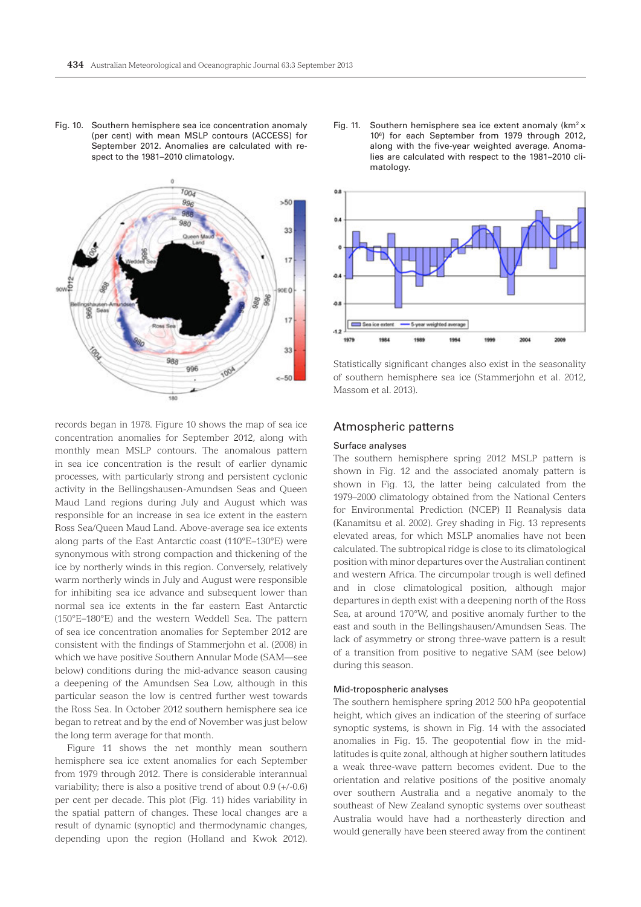Fig. 10. Southern hemisphere sea ice concentration anomaly (per cent) with mean MSLP contours (ACCESS) for September 2012. Anomalies are calculated with respect to the 1981–2010 climatology.



records began in 1978. Figure 10 shows the map of sea ice concentration anomalies for September 2012, along with monthly mean MSLP contours. The anomalous pattern in sea ice concentration is the result of earlier dynamic processes, with particularly strong and persistent cyclonic activity in the Bellingshausen-Amundsen Seas and Queen Maud Land regions during July and August which was responsible for an increase in sea ice extent in the eastern Ross Sea/Queen Maud Land. Above-average sea ice extents along parts of the East Antarctic coast (110°E–130°E) were synonymous with strong compaction and thickening of the ice by northerly winds in this region. Conversely, relatively warm northerly winds in July and August were responsible for inhibiting sea ice advance and subsequent lower than normal sea ice extents in the far eastern East Antarctic (150°E–180°E) and the western Weddell Sea. The pattern of sea ice concentration anomalies for September 2012 are consistent with the findings of Stammerjohn et al. (2008) in which we have positive Southern Annular Mode (SAM—see below) conditions during the mid-advance season causing a deepening of the Amundsen Sea Low, although in this particular season the low is centred further west towards the Ross Sea. In October 2012 southern hemisphere sea ice began to retreat and by the end of November was just below the long term average for that month.

Figure 11 shows the net monthly mean southern hemisphere sea ice extent anomalies for each September from 1979 through 2012. There is considerable interannual variability; there is also a positive trend of about 0.9 (+/-0.6) per cent per decade. This plot (Fig. 11) hides variability in the spatial pattern of changes. These local changes are a result of dynamic (synoptic) and thermodynamic changes, depending upon the region (Holland and Kwok 2012).

Fig. 11. Southern hemisphere sea ice extent anomaly ( $km^2$   $\times$ 106 ) for each September from 1979 through 2012, along with the five-year weighted average. Anomalies are calculated with respect to the 1981–2010 climatology.



Statistically significant changes also exist in the seasonality of southern hemisphere sea ice (Stammerjohn et al. 2012, Massom et al. 2013).

## Atmospheric patterns

#### Surface analyses

The southern hemisphere spring 2012 MSLP pattern is shown in Fig. 12 and the associated anomaly pattern is shown in Fig. 13, the latter being calculated from the 1979–2000 climatology obtained from the National Centers for Environmental Prediction (NCEP) II Reanalysis data (Kanamitsu et al. 2002). Grey shading in Fig. 13 represents elevated areas, for which MSLP anomalies have not been calculated. The subtropical ridge is close to its climatological position with minor departures over the Australian continent and western Africa. The circumpolar trough is well defined and in close climatological position, although major departures in depth exist with a deepening north of the Ross Sea, at around 170°W, and positive anomaly further to the east and south in the Bellingshausen/Amundsen Seas. The lack of asymmetry or strong three-wave pattern is a result of a transition from positive to negative SAM (see below) during this season.

## Mid-tropospheric analyses

The southern hemisphere spring 2012 500 hPa geopotential height, which gives an indication of the steering of surface synoptic systems, is shown in Fig. 14 with the associated anomalies in Fig. 15. The geopotential flow in the midlatitudes is quite zonal, although at higher southern latitudes a weak three-wave pattern becomes evident. Due to the orientation and relative positions of the positive anomaly over southern Australia and a negative anomaly to the southeast of New Zealand synoptic systems over southeast Australia would have had a northeasterly direction and would generally have been steered away from the continent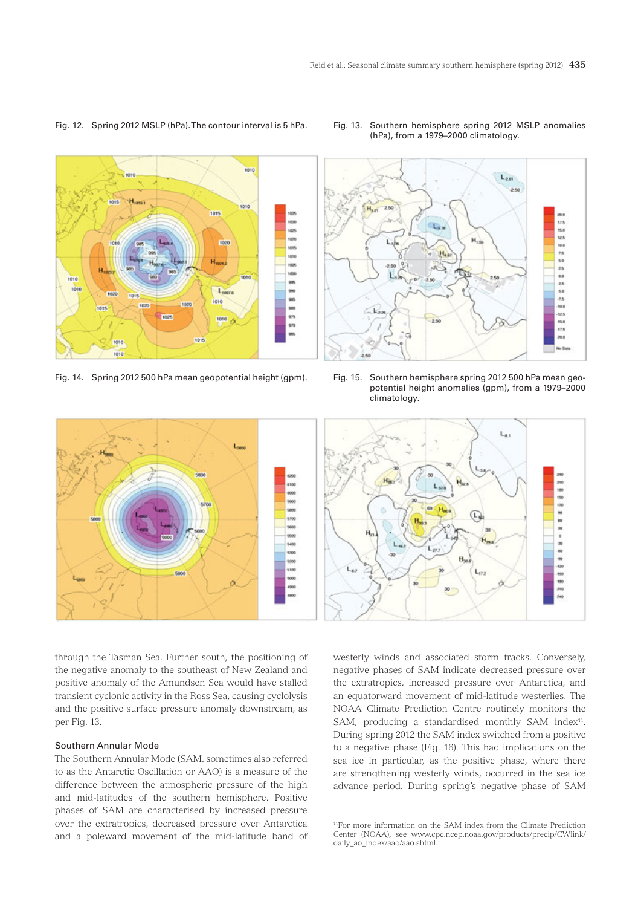





Fig. 14. Spring 2012 500 hPa mean geopotential height (gpm). Fig. 15. Southern hemisphere spring 2012 500 hPa mean geopotential height anomalies (gpm), from a 1979–2000 climatology.



through the Tasman Sea. Further south, the positioning of the negative anomaly to the southeast of New Zealand and positive anomaly of the Amundsen Sea would have stalled transient cyclonic activity in the Ross Sea, causing cyclolysis and the positive surface pressure anomaly downstream, as per Fig. 13.

## Southern Annular Mode

The Southern Annular Mode (SAM, sometimes also referred to as the Antarctic Oscillation or AAO) is a measure of the difference between the atmospheric pressure of the high and mid-latitudes of the southern hemisphere. Positive phases of SAM are characterised by increased pressure over the extratropics, decreased pressure over Antarctica and a poleward movement of the mid-latitude band of



westerly winds and associated storm tracks. Conversely, negative phases of SAM indicate decreased pressure over the extratropics, increased pressure over Antarctica, and an equatorward movement of mid-latitude westerlies. The NOAA Climate Prediction Centre routinely monitors the SAM, producing a standardised monthly SAM index<sup>11</sup>. During spring 2012 the SAM index switched from a positive to a negative phase (Fig. 16). This had implications on the sea ice in particular, as the positive phase, where there are strengthening westerly winds, occurred in the sea ice advance period. During spring's negative phase of SAM

<sup>11</sup>For more information on the SAM index from the Climate Prediction Center (NOAA), see www.cpc.ncep.noaa.gov/products/precip/CWlink/ daily\_ao\_index/aao/aao.shtml.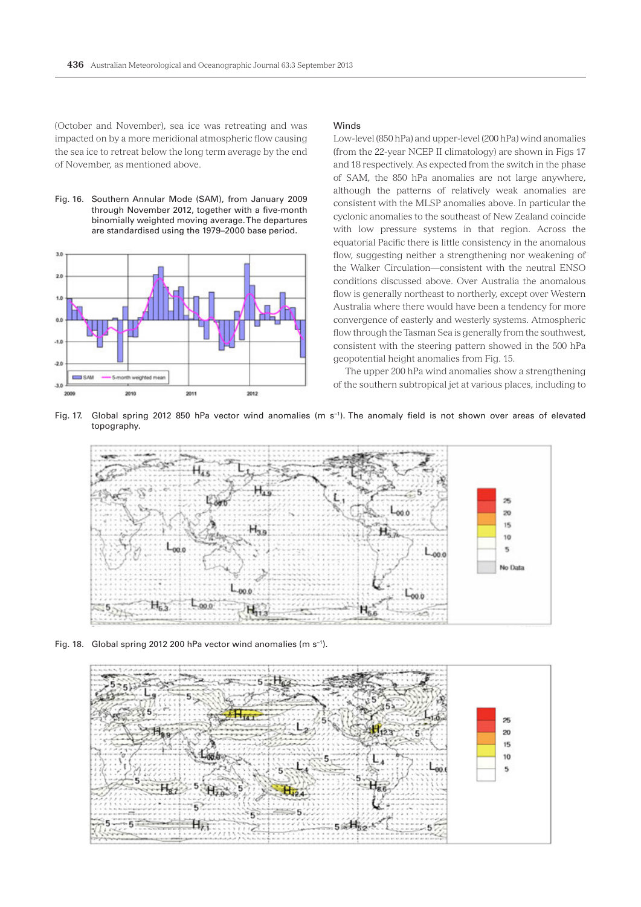(October and November), sea ice was retreating and was impacted on by a more meridional atmospheric flow causing the sea ice to retreat below the long term average by the end of November, as mentioned above.

Fig. 16. Southern Annular Mode (SAM), from January 2009 through November 2012, together with a five-month binomially weighted moving average. The departures are standardised using the 1979–2000 base period.



#### Winds

Low-level (850 hPa) and upper-level (200 hPa) wind anomalies (from the 22-year NCEP II climatology) are shown in Figs 17 and 18 respectively. As expected from the switch in the phase of SAM, the 850 hPa anomalies are not large anywhere, although the patterns of relatively weak anomalies are consistent with the MLSP anomalies above. In particular the cyclonic anomalies to the southeast of New Zealand coincide with low pressure systems in that region. Across the equatorial Pacific there is little consistency in the anomalous flow, suggesting neither a strengthening nor weakening of the Walker Circulation—consistent with the neutral ENSO conditions discussed above. Over Australia the anomalous flow is generally northeast to northerly, except over Western Australia where there would have been a tendency for more convergence of easterly and westerly systems. Atmospheric flow through the Tasman Sea is generally from the southwest, consistent with the steering pattern showed in the 500 hPa geopotential height anomalies from Fig. 15.

The upper 200 hPa wind anomalies show a strengthening of the southern subtropical jet at various places, including to

Fig. 17. Global spring 2012 850 hPa vector wind anomalies (m s−1). The anomaly field is not shown over areas of elevated topography.



Fig. 18. Global spring 2012 200 hPa vector wind anomalies (m s−1).

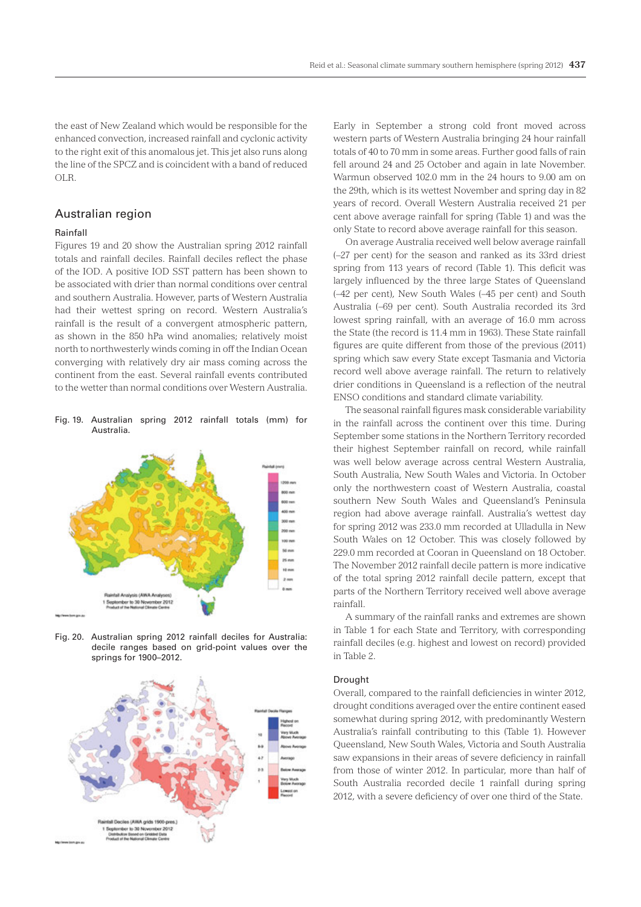the east of New Zealand which would be responsible for the enhanced convection, increased rainfall and cyclonic activity to the right exit of this anomalous jet. This jet also runs along the line of the SPCZ and is coincident with a band of reduced OLR.

# Australian region

### Rainfall

Figures 19 and 20 show the Australian spring 2012 rainfall totals and rainfall deciles. Rainfall deciles reflect the phase of the IOD. A positive IOD SST pattern has been shown to be associated with drier than normal conditions over central and southern Australia. However, parts of Western Australia had their wettest spring on record. Western Australia's rainfall is the result of a convergent atmospheric pattern, as shown in the 850 hPa wind anomalies; relatively moist north to northwesterly winds coming in off the Indian Ocean converging with relatively dry air mass coming across the continent from the east. Several rainfall events contributed to the wetter than normal conditions over Western Australia.

Fig. 19. Australian spring 2012 rainfall totals (mm) for Australia.



Fig. 20. Australian spring 2012 rainfall deciles for Australia: decile ranges based on grid-point values over the springs for 1900–2012.



Early in September a strong cold front moved across western parts of Western Australia bringing 24 hour rainfall totals of 40 to 70 mm in some areas. Further good falls of rain fell around 24 and 25 October and again in late November. Warmun observed 102.0 mm in the 24 hours to 9.00 am on the 29th, which is its wettest November and spring day in 82 years of record. Overall Western Australia received 21 per cent above average rainfall for spring (Table 1) and was the only State to record above average rainfall for this season.

On average Australia received well below average rainfall (–27 per cent) for the season and ranked as its 33rd driest spring from 113 years of record (Table 1). This deficit was largely influenced by the three large States of Queensland (–42 per cent), New South Wales (–45 per cent) and South Australia (–69 per cent). South Australia recorded its 3rd lowest spring rainfall, with an average of 16.0 mm across the State (the record is 11.4 mm in 1963). These State rainfall figures are quite different from those of the previous (2011) spring which saw every State except Tasmania and Victoria record well above average rainfall. The return to relatively drier conditions in Queensland is a reflection of the neutral ENSO conditions and standard climate variability.

The seasonal rainfall figures mask considerable variability in the rainfall across the continent over this time. During September some stations in the Northern Territory recorded their highest September rainfall on record, while rainfall was well below average across central Western Australia, South Australia, New South Wales and Victoria. In October only the northwestern coast of Western Australia, coastal southern New South Wales and Queensland's Peninsula region had above average rainfall. Australia's wettest day for spring 2012 was 233.0 mm recorded at Ulladulla in New South Wales on 12 October. This was closely followed by 229.0 mm recorded at Cooran in Queensland on 18 October. The November 2012 rainfall decile pattern is more indicative of the total spring 2012 rainfall decile pattern, except that parts of the Northern Territory received well above average rainfall.

A summary of the rainfall ranks and extremes are shown in Table 1 for each State and Territory, with corresponding rainfall deciles (e.g. highest and lowest on record) provided in Table 2.

## Drought

Overall, compared to the rainfall deficiencies in winter 2012, drought conditions averaged over the entire continent eased somewhat during spring 2012, with predominantly Western Australia's rainfall contributing to this (Table 1). However Queensland, New South Wales, Victoria and South Australia saw expansions in their areas of severe deficiency in rainfall from those of winter 2012. In particular, more than half of South Australia recorded decile 1 rainfall during spring 2012, with a severe deficiency of over one third of the State.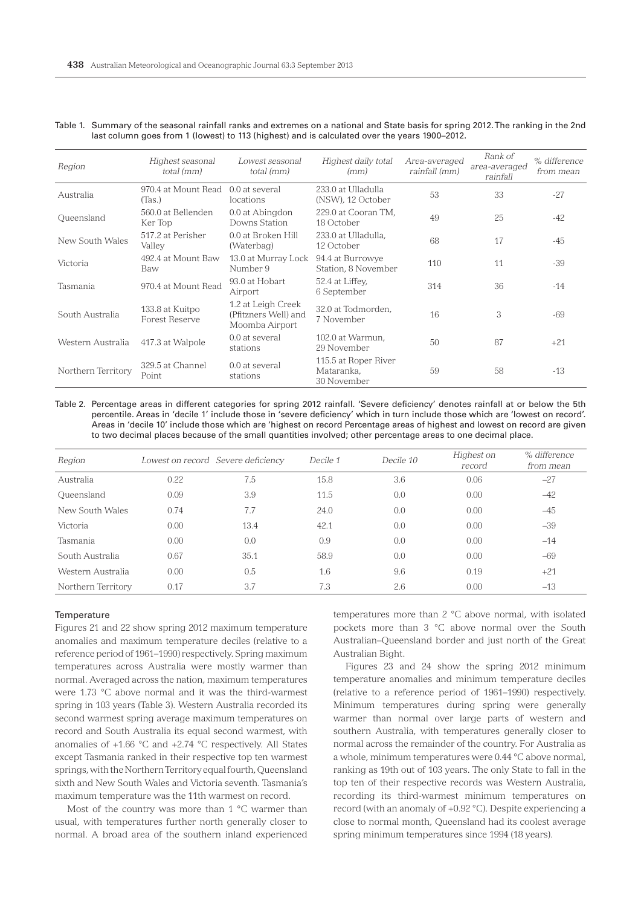| Region             | Highest seasonal<br>total (mm)           | Lowest seasonal<br>total (mm)                                | Highest daily total<br>(mm)                       | Area-averaged<br>rainfall (mm) | Rank of<br>area-averaged<br>rainfall | % difference<br>from mean |
|--------------------|------------------------------------------|--------------------------------------------------------------|---------------------------------------------------|--------------------------------|--------------------------------------|---------------------------|
| Australia          | 970.4 at Mount Read<br>(Tas.)            | $0.0$ at several<br>locations                                | 233.0 at Ulladulla<br>(NSW), 12 October           | 53                             | 33                                   | $-27$                     |
| Queensland         | 560.0 at Bellenden<br>Ker Top            | 0.0 at Abingdon<br>Downs Station                             | 229.0 at Cooran TM.<br>18 October                 | 49                             | 25                                   | $-42$                     |
| New South Wales    | 517.2 at Perisher<br>Valley              | 0.0 at Broken Hill<br>(Waterbag)                             | 233.0 at Ulladulla.<br>12 October                 | 68                             | 17                                   | -45                       |
| Victoria           | 492.4 at Mount Baw<br>Baw                | 13.0 at Murray Lock<br>Number 9                              | 94.4 at Burrowye<br>Station, 8 November           | 110                            | 11                                   | $-39$                     |
| Tasmania           | 970.4 at Mount Read                      | 93.0 at Hobart<br>Airport                                    | 52.4 at Liffey,<br>6 September                    | 314                            | 36                                   | $-14$                     |
| South Australia    | 133.8 at Kuitpo<br><b>Forest Reserve</b> | 1.2 at Leigh Creek<br>(Pfitzners Well) and<br>Moomba Airport | 32.0 at Todmorden,<br>7 November                  | 16                             | 3                                    | -69                       |
| Western Australia  | 417.3 at Walpole                         | $0.0$ at several<br>stations                                 | 102.0 at Warmun.<br>29 November                   | 50                             | 87                                   | $+21$                     |
| Northern Territory | 329.5 at Channel<br>Point                | 0.0 at several<br>stations                                   | 115.5 at Roper River<br>Mataranka,<br>30 November | 59                             | 58                                   | $-13$                     |

#### Table 1. Summary of the seasonal rainfall ranks and extremes on a national and State basis for spring 2012. The ranking in the 2nd last column goes from 1 (lowest) to 113 (highest) and is calculated over the years 1900–2012.

Table 2. Percentage areas in different categories for spring 2012 rainfall. 'Severe deficiency' denotes rainfall at or below the 5th percentile. Areas in 'decile 1' include those in 'severe deficiency' which in turn include those which are 'lowest on record'. Areas in 'decile 10' include those which are 'highest on record Percentage areas of highest and lowest on record are given to two decimal places because of the small quantities involved; other percentage areas to one decimal place.

| Region             |      | Lowest on record Severe deficiency | Decile 1 | Decile 10 | Highest on<br>record | % difference<br>from mean |
|--------------------|------|------------------------------------|----------|-----------|----------------------|---------------------------|
| Australia          | 0.22 | 7.5                                | 15.8     | 3.6       | 0.06                 | $-27$                     |
| Oueensland         | 0.09 | 3.9                                | 11.5     | 0.0       | 0.00                 | $-42$                     |
| New South Wales    | 0.74 | 7.7                                | 24.0     | 0.0       | 0.00                 | $-45$                     |
| Victoria           | 0.00 | 13.4                               | 42.1     | 0.0       | 0.00                 | $-39$                     |
| Tasmania           | 0.00 | 0.0                                | 0.9      | 0.0       | 0.00                 | $-14$                     |
| South Australia    | 0.67 | 35.1                               | 58.9     | 0.0       | 0.00                 | $-69$                     |
| Western Australia  | 0.00 | 0.5                                | 1.6      | 9.6       | 0.19                 | $+21$                     |
| Northern Territory | 0.17 | 3.7                                | 7.3      | 2.6       | 0.00                 | $-13$                     |

#### **Temperature**

Figures 21 and 22 show spring 2012 maximum temperature anomalies and maximum temperature deciles (relative to a reference period of 1961–1990) respectively. Spring maximum temperatures across Australia were mostly warmer than normal. Averaged across the nation, maximum temperatures were 1.73 °C above normal and it was the third-warmest spring in 103 years (Table 3). Western Australia recorded its second warmest spring average maximum temperatures on record and South Australia its equal second warmest, with anomalies of +1.66 °C and +2.74 °C respectively. All States except Tasmania ranked in their respective top ten warmest springs, with the Northern Territory equal fourth, Queensland sixth and New South Wales and Victoria seventh. Tasmania's maximum temperature was the 11th warmest on record.

Most of the country was more than 1 °C warmer than usual, with temperatures further north generally closer to normal. A broad area of the southern inland experienced

temperatures more than 2 °C above normal, with isolated pockets more than 3 °C above normal over the South Australian–Queensland border and just north of the Great Australian Bight.

Figures 23 and 24 show the spring 2012 minimum temperature anomalies and minimum temperature deciles (relative to a reference period of 1961–1990) respectively. Minimum temperatures during spring were generally warmer than normal over large parts of western and southern Australia, with temperatures generally closer to normal across the remainder of the country. For Australia as a whole, minimum temperatures were 0.44 °C above normal, ranking as 19th out of 103 years. The only State to fall in the top ten of their respective records was Western Australia, recording its third-warmest minimum temperatures on record (with an anomaly of +0.92 °C). Despite experiencing a close to normal month, Queensland had its coolest average spring minimum temperatures since 1994 (18 years).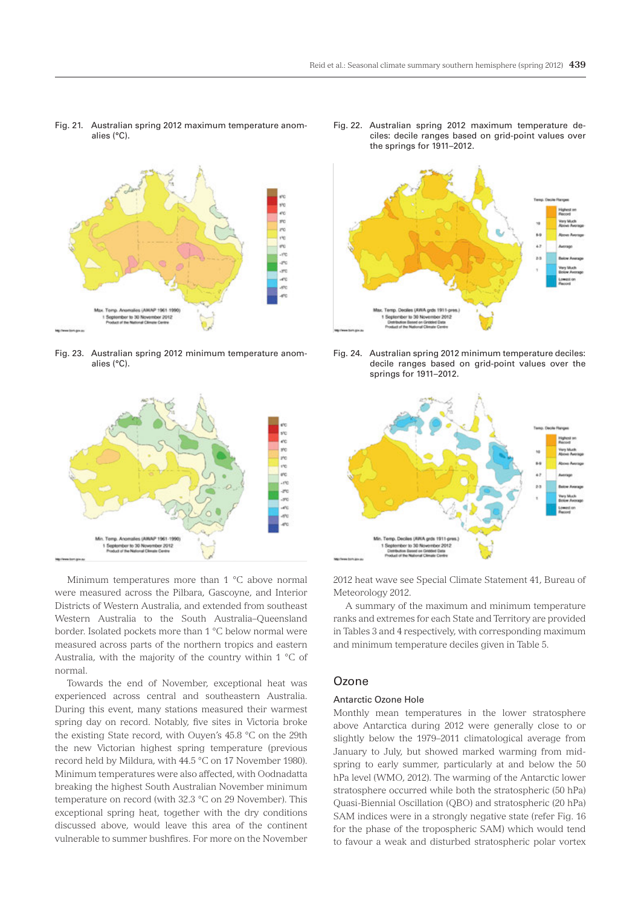Fig. 21. Australian spring 2012 maximum temperature anomalies (°C).



Fig. 23. Australian spring 2012 minimum temperature anomalies (°C).



Minimum temperatures more than 1 °C above normal were measured across the Pilbara, Gascoyne, and Interior Districts of Western Australia, and extended from southeast Western Australia to the South Australia–Queensland border. Isolated pockets more than 1 °C below normal were measured across parts of the northern tropics and eastern Australia, with the majority of the country within 1 °C of normal.

Towards the end of November, exceptional heat was experienced across central and southeastern Australia. During this event, many stations measured their warmest spring day on record. Notably, five sites in Victoria broke the existing State record, with Ouyen's 45.8 °C on the 29th the new Victorian highest spring temperature (previous record held by Mildura, with 44.5 °C on 17 November 1980). Minimum temperatures were also affected, with Oodnadatta breaking the highest South Australian November minimum temperature on record (with 32.3 °C on 29 November). This exceptional spring heat, together with the dry conditions discussed above, would leave this area of the continent vulnerable to summer bushfires. For more on the November

Fig. 22. Australian spring 2012 maximum temperature deciles: decile ranges based on grid-point values over the springs for 1911–2012.



Fig. 24. Australian spring 2012 minimum temperature deciles: decile ranges based on grid-point values over the springs for 1911–2012.



2012 heat wave see Special Climate Statement 41, Bureau of Meteorology 2012.

A summary of the maximum and minimum temperature ranks and extremes for each State and Territory are provided in Tables 3 and 4 respectively, with corresponding maximum and minimum temperature deciles given in Table 5.

# **Ozone**

#### Antarctic Ozone Hole

Monthly mean temperatures in the lower stratosphere above Antarctica during 2012 were generally close to or slightly below the 1979–2011 climatological average from January to July, but showed marked warming from midspring to early summer, particularly at and below the 50 hPa level (WMO, 2012). The warming of the Antarctic lower stratosphere occurred while both the stratospheric (50 hPa) Quasi-Biennial Oscillation (QBO) and stratospheric (20 hPa) SAM indices were in a strongly negative state (refer Fig. 16 for the phase of the tropospheric SAM) which would tend to favour a weak and disturbed stratospheric polar vortex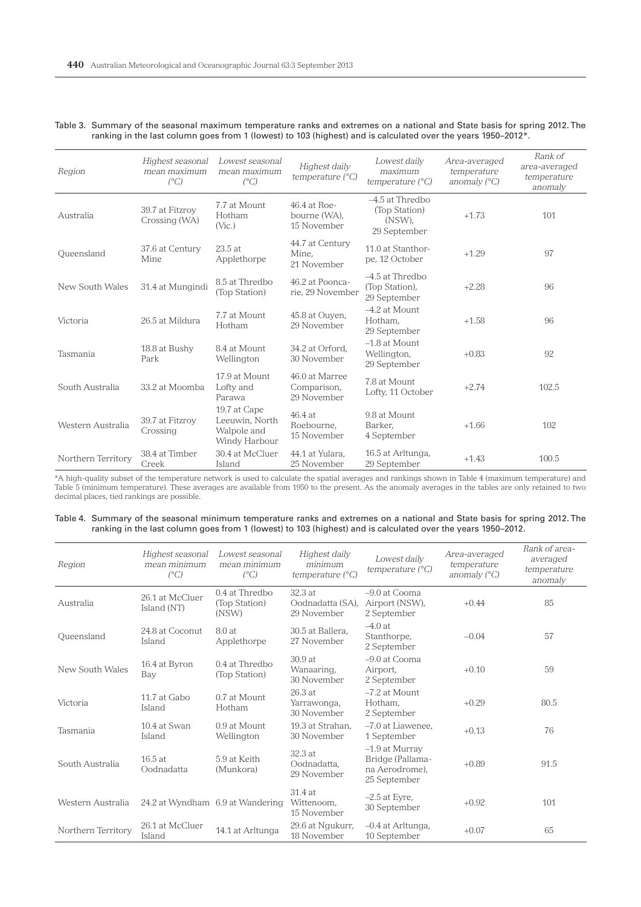| Region             | Highest seasonal<br>mean maximum<br>$(^{\circ}C)$ | Lowest seasonal<br>mean maximum<br>$(^{\circ}C)$               | Highest daily<br>temperature $(^{\circ}C)$   | Lowest daily<br>maximum<br>temperature $(^{\circ}C)$         | Area-averaged<br>temperature<br>anomaly $(^{\circ}C)$ | Rank of<br>area-averaged<br>temperature<br>anomaly |
|--------------------|---------------------------------------------------|----------------------------------------------------------------|----------------------------------------------|--------------------------------------------------------------|-------------------------------------------------------|----------------------------------------------------|
| Australia          | 39.7 at Fitzroy<br>Crossing (WA)                  | 7.7 at Mount<br>Hotham<br>(Vic.)                               | 46.4 at Roe-<br>bourne (WA),<br>15 November  | $-4.5$ at Thredbo<br>(Top Station)<br>(NSW),<br>29 September | $+1.73$                                               | 101                                                |
| Queensland         | 37.6 at Century<br>Mine                           | 23.5 at<br>Applethorpe                                         | 44.7 at Century<br>Mine,<br>21 November      | 11.0 at Stanthor-<br>pe, 12 October                          | $+1.29$                                               | 97                                                 |
| New South Wales    | 31.4 at Mungindi                                  | 8.5 at Thredbo<br>(Top Station)                                | 46.2 at Poonca-<br>rie, 29 November          | -4.5 at Thredbo<br>(Top Station),<br>29 September            | $+2.28$                                               | 96                                                 |
| Victoria           | 26.5 at Mildura                                   | 7.7 at Mount<br>Hotham                                         | 45.8 at Ouyen,<br>29 November                | $-4.2$ at Mount<br>Hotham,<br>29 September                   | $+1.58$                                               | 96                                                 |
| Tasmania           | 18.8 at Bushy<br>Park                             | 8.4 at Mount<br>Wellington                                     | 34.2 at Orford.<br>30 November               | $-1.8$ at Mount<br>Wellington,<br>29 September               | $+0.83$                                               | 92                                                 |
| South Australia    | 33.2 at Moomba                                    | 17.9 at Mount<br>Lofty and<br>Parawa                           | 46.0 at Marree<br>Comparison,<br>29 November | 7.8 at Mount<br>Lofty, 11 October                            | $+2.74$                                               | 102.5                                              |
| Western Australia  | 39.7 at Fitzrov<br>Crossing                       | 19.7 at Cape<br>Leeuwin, North<br>Walpole and<br>Windy Harbour | 46.4 at<br>Roebourne.<br>15 November         | 9.8 at Mount<br>Barker.<br>4 September                       | $+1.66$                                               | 102                                                |
| Northern Territory | 38.4 at Timber<br>Creek                           | 30.4 at McCluer<br>Island                                      | 44.1 at Yulara.<br>25 November               | 16.5 at Arltunga,<br>29 September                            | $+1.43$                                               | 100.5                                              |

## Table 3. Summary of the seasonal maximum temperature ranks and extremes on a national and State basis for spring 2012. The ranking in the last column goes from 1 (lowest) to 103 (highest) and is calculated over the years 1950–2012\*.

\*A high-quality subset of the temperature network is used to calculate the spatial averages and rankings shown in Table 4 (maximum temperature) and Table 5 (minimum temperature). These averages are available from 1950 to the present. As the anomaly averages in the tables are only retained to two decimal places, tied rankings are possible.

| Table 4. Summary of the seasonal minimum temperature ranks and extremes on a national and State basis for spring 2012. The |  |  |  |
|----------------------------------------------------------------------------------------------------------------------------|--|--|--|
| ranking in the last column goes from 1 (lowest) to 103 (highest) and is calculated over the years 1950–2012.               |  |  |  |

| Region             | Highest seasonal<br>mean minimum<br>$(^{\circ}C)$ | Lowest seasonal<br>mean minimum<br>$(^{\circ}C)$ | Highest daily<br>minimum<br>temperature $(^{\circ}C)$ | Lowest daily<br>temperature $(^{\circ}C)$                            | Area-averaged<br>temperature<br>anomaly $(^{\circ}C)$ | Rank of area-<br>averaged<br>temperature<br>anomaly |
|--------------------|---------------------------------------------------|--------------------------------------------------|-------------------------------------------------------|----------------------------------------------------------------------|-------------------------------------------------------|-----------------------------------------------------|
| Australia          | 26.1 at McCluer<br>Island (NT)                    | $0.4$ at Thredbo<br>(Top Station)<br>(NSW)       | 32.3 at<br>Oodnadatta (SA),<br>29 November            | $-9.0$ at Cooma<br>Airport (NSW),<br>2 September                     | $+0.44$                                               | 85                                                  |
| Oueensland         | 24.8 at Coconut<br>Island                         | 8.0 at<br>Applethorpe                            | 30.5 at Ballera.<br>27 November                       | $-4.0$ at<br>Stanthorpe,<br>2 September                              | $-0.04$                                               | 57                                                  |
| New South Wales    | 16.4 at Byron<br>Bay                              | $0.4$ at Thredbo<br>(Top Station)                | 30.9 at<br>Wanaaring,<br>30 November                  | $-9.0$ at Cooma<br>Airport,<br>2 September                           | $+0.10$                                               | 59                                                  |
| Victoria           | 11.7 at Gabo<br>Island                            | 0.7 at Mount<br>Hotham                           | 26.3 at<br>Yarrawonga,<br>30 November                 | $-7.2$ at Mount<br>Hotham,<br>2 September                            | $+0.29$                                               | 80.5                                                |
| Tasmania           | 10.4 at Swan<br>Island                            | 0.9 at Mount<br>Wellington                       | 19.3 at Strahan.<br>30 November                       | -7.0 at Liawenee.<br>1 September                                     | $+0.13$                                               | 76                                                  |
| South Australia    | $16.5$ at<br>Oodnadatta                           | 5.9 at Keith<br>(Munkora)                        | 32.3 at<br>Oodnadatta.<br>29 November                 | -1.9 at Murray<br>Bridge (Pallama-<br>na Aerodrome).<br>25 September | $+0.89$                                               | 91.5                                                |
| Western Australia  | 24.2 at Wyndham 6.9 at Wandering                  |                                                  | 31.4 at<br>Wittenoom,<br>15 November                  | $-2.5$ at Eyre,<br>30 September                                      | $+0.92$                                               | 101                                                 |
| Northern Territory | 26.1 at McCluer<br>Island                         | 14.1 at Arltunga                                 | 29.6 at Nqukurr,<br>18 November                       | -0.4 at Arltunga,<br>10 September                                    | $+0.07$                                               | 65                                                  |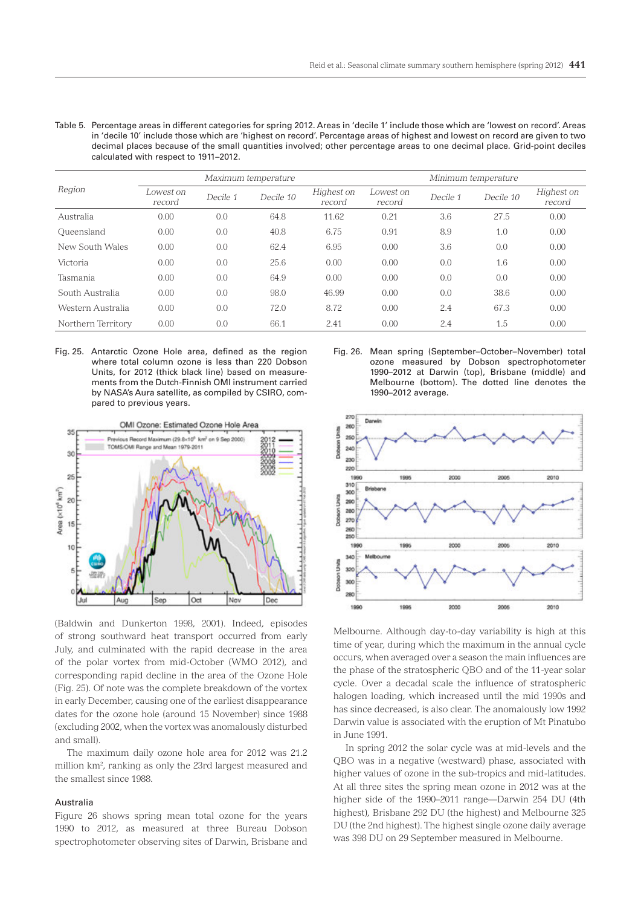Table 5. Percentage areas in different categories for spring 2012. Areas in 'decile 1' include those which are 'lowest on record'. Areas in 'decile 10' include those which are 'highest on record'. Percentage areas of highest and lowest on record are given to two decimal places because of the small quantities involved; other percentage areas to one decimal place. Grid-point deciles calculated with respect to 1911–2012.

| Region             | Maximum temperature |          |           |                      | Minimum temperature |          |           |                      |
|--------------------|---------------------|----------|-----------|----------------------|---------------------|----------|-----------|----------------------|
|                    | Lowest on<br>record | Decile 1 | Decile 10 | Highest on<br>record | Lowest on<br>record | Decile 1 | Decile 10 | Highest on<br>record |
| Australia          | 0.00                | 0.0      | 64.8      | 11.62                | 0.21                | 3.6      | 27.5      | 0.00                 |
| Oueensland         | 0.00                | 0.0      | 40.8      | 6.75                 | 0.91                | 8.9      | 1.0       | 0.00                 |
| New South Wales    | 0.00                | 0.0      | 62.4      | 6.95                 | 0.00                | 3.6      | 0.0       | 0.00                 |
| Victoria           | 0.00                | 0.0      | 25.6      | 0.00                 | 0.00                | 0.0      | 1.6       | 0.00                 |
| Tasmania           | 0.00                | 0.0      | 64.9      | 0.00                 | 0.00                | 0.0      | 0.0       | 0.00                 |
| South Australia    | 0.00                | 0.0      | 98.0      | 46.99                | 0.00                | 0.0      | 38.6      | 0.00                 |
| Western Australia  | 0.00                | 0.0      | 72.0      | 8.72                 | 0.00                | 2.4      | 67.3      | 0.00                 |
| Northern Territory | 0.00                | 0.0      | 66.1      | 2.41                 | 0.00                | 2.4      | 1.5       | 0.00                 |

Fig. 25. Antarctic Ozone Hole area, defined as the region where total column ozone is less than 220 Dobson Units, for 2012 (thick black line) based on measurements from the Dutch-Finnish OMI instrument carried by NASA's Aura satellite, as compiled by CSIRO, compared to previous years.



(Baldwin and Dunkerton 1998, 2001). Indeed, episodes of strong southward heat transport occurred from early July, and culminated with the rapid decrease in the area of the polar vortex from mid-October (WMO 2012), and corresponding rapid decline in the area of the Ozone Hole (Fig. 25). Of note was the complete breakdown of the vortex in early December, causing one of the earliest disappearance dates for the ozone hole (around 15 November) since 1988 (excluding 2002, when the vortex was anomalously disturbed and small).

The maximum daily ozone hole area for 2012 was 21.2 million km2 , ranking as only the 23rd largest measured and the smallest since 1988.

#### Australia

Figure 26 shows spring mean total ozone for the years 1990 to 2012, as measured at three Bureau Dobson spectrophotometer observing sites of Darwin, Brisbane and

Fig. 26. Mean spring (September–October–November) total ozone measured by Dobson spectrophotometer 1990–2012 at Darwin (top), Brisbane (middle) and Melbourne (bottom). The dotted line denotes the 1990–2012 average.



Melbourne. Although day-to-day variability is high at this time of year, during which the maximum in the annual cycle occurs, when averaged over a season the main influences are the phase of the stratospheric QBO and of the 11-year solar cycle. Over a decadal scale the influence of stratospheric halogen loading, which increased until the mid 1990s and has since decreased, is also clear. The anomalously low 1992 Darwin value is associated with the eruption of Mt Pinatubo in June 1991.

In spring 2012 the solar cycle was at mid-levels and the QBO was in a negative (westward) phase, associated with higher values of ozone in the sub-tropics and mid-latitudes. At all three sites the spring mean ozone in 2012 was at the higher side of the 1990–2011 range—Darwin 254 DU (4th highest), Brisbane 292 DU (the highest) and Melbourne 325 DU (the 2nd highest). The highest single ozone daily average was 398 DU on 29 September measured in Melbourne.